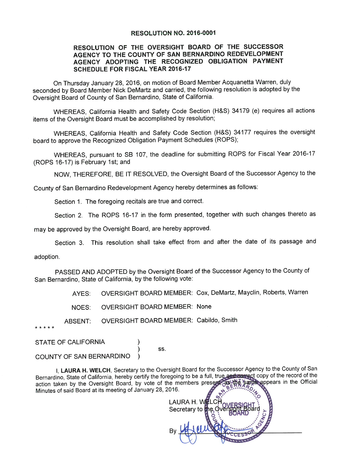#### RESOLUTION NO. 2016-0001

### RESOLUTION OF THE OVERSIGHT BOARD OF THE SUCCESSOR AGENCY TO THE COUNTY OF SAN BERNARDINO REDEVELOPMENT AGENCY ADOPTING THE RECOGNIZED OBLIGATION PAYMENT **SCHEDULE FOR FISCAL YEAR 2016-17**

On Thursday January 28, 2016, on motion of Board Member Acquanetta Warren, duly seconded by Board Member Nick DeMartz and carried, the following resolution is adopted by the Oversight Board of County of San Bernardino, State of California.

WHEREAS, California Health and Safety Code Section (H&S) 34179 (e) requires all actions items of the Oversight Board must be accomplished by resolution;

WHEREAS, California Health and Safety Code Section (H&S) 34177 requires the oversight board to approve the Recognized Obligation Payment Schedules (ROPS):

WHEREAS, pursuant to SB 107, the deadline for submitting ROPS for Fiscal Year 2016-17 (ROPS 16-17) is February 1st; and

NOW, THEREFORE, BE IT RESOLVED, the Oversight Board of the Successor Agency to the

County of San Bernardino Redevelopment Agency hereby determines as follows:

Section 1. The foregoing recitals are true and correct.

Section 2. The ROPS 16-17 in the form presented, together with such changes thereto as

may be approved by the Oversight Board, are hereby approved.

Section 3. This resolution shall take effect from and after the date of its passage and

adoption.

PASSED AND ADOPTED by the Oversight Board of the Successor Agency to the County of San Bernardino, State of California, by the following vote:

> OVERSIGHT BOARD MEMBER: Cox, DeMartz, Mayclin, Roberts, Warren AYES:

**OVERSIGHT BOARD MEMBER: None** NOES:

OVERSIGHT BOARD MEMBER: Cabildo, Smith ABSENT:

. . . . .

**STATE OF CALIFORNIA** 

SS.

COUNTY OF SAN BERNARDINO

I, LAURA H. WELCH, Secretary to the Oversight Board for the Successor Agency to the County of San Bernardino, State of California, hereby certify the foregoing to be a full, true and correct copy of the record of the e appears in the Official action taken by the Oversight Board, by vote of the members present Minutes of said Board at its meeting of January 28, 2016.

LAURA H. W Secretary to the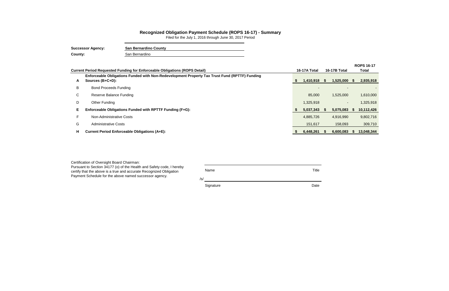|                                                                                   |                                                                                                                   |  |           |              |       | <b>ROPS 16-17</b> |  |
|-----------------------------------------------------------------------------------|-------------------------------------------------------------------------------------------------------------------|--|-----------|--------------|-------|-------------------|--|
| <b>Current Period Requested Funding for Enforceable Obligations (ROPS Detail)</b> |                                                                                                                   |  |           | 16-17B Total | Total |                   |  |
| A                                                                                 | Enforceable Obligations Funded with Non-Redevelopment Property Tax Trust Fund (RPTTF) Funding<br>Sources (B+C+D): |  | 1,410,918 | 1,525,000 \$ |       | 2,935,918         |  |
| B                                                                                 | <b>Bond Proceeds Funding</b>                                                                                      |  |           |              |       |                   |  |
| C.                                                                                | Reserve Balance Funding                                                                                           |  | 85,000    | 1,525,000    |       | 1,610,000         |  |
| D                                                                                 | Other Funding                                                                                                     |  | 1,325,918 |              |       | 1,325,918         |  |
|                                                                                   | Enforceable Obligations Funded with RPTTF Funding (F+G):                                                          |  | 5,037,343 | 5,075,083    | Э'n   | 10,112,426        |  |
|                                                                                   | Non-Administrative Costs                                                                                          |  | 4,885,726 | 4,916,990    |       | 9,802,716         |  |
| G                                                                                 | <b>Administrative Costs</b>                                                                                       |  | 151,617   | 158,093      |       | 309,710           |  |
| H.                                                                                | <b>Current Period Enforceable Obligations (A+E):</b>                                                              |  | 6,448,261 | 6,600,083    |       | 13,048,344        |  |

 $\equiv$ 

## **Recognized Obligation Payment Schedule (ROPS 16-17) - Summary**

| Certification of Oversight Board Chairman:                                                                                                                                                             |                           |       |
|--------------------------------------------------------------------------------------------------------------------------------------------------------------------------------------------------------|---------------------------|-------|
| Pursuant to Section 34177 (o) of the Health and Safety code, I hereby<br>certify that the above is a true and accurate Recognized Obligation<br>Payment Schedule for the above named successor agency. | <b>Name</b><br>$\sqrt{s}$ | Title |
|                                                                                                                                                                                                        | Signature                 | Date  |

Filed for the July 1, 2016 through June 30, 2017 Period 

| <b>Successor Agency:</b> | <b>San Bernardino County</b> |
|--------------------------|------------------------------|
| County:                  | San Bernardino               |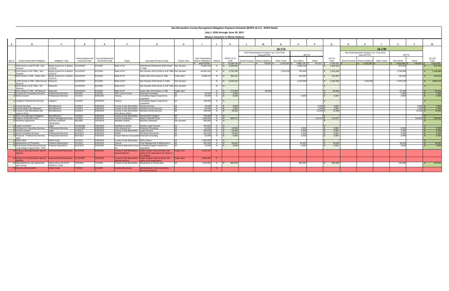|        |                                                                                              |                                                    |                        |                                         |                                                |                                                                      |                     |                          |                     | July 1, 2016 through June 30, 2017 |                                           |                    |                  |              |           |                      |                                           |                    |                 |                      |                        |
|--------|----------------------------------------------------------------------------------------------|----------------------------------------------------|------------------------|-----------------------------------------|------------------------------------------------|----------------------------------------------------------------------|---------------------|--------------------------|---------------------|------------------------------------|-------------------------------------------|--------------------|------------------|--------------|-----------|----------------------|-------------------------------------------|--------------------|-----------------|----------------------|------------------------|
|        |                                                                                              |                                                    |                        |                                         |                                                |                                                                      |                     |                          |                     | (Report Amounts in Whole Dollars)  |                                           |                    |                  |              |           |                      |                                           |                    |                 |                      |                        |
|        |                                                                                              |                                                    |                        |                                         |                                                |                                                                      |                     |                          |                     |                                    |                                           |                    |                  |              |           |                      |                                           |                    |                 |                      |                        |
|        |                                                                                              |                                                    |                        |                                         |                                                |                                                                      |                     |                          |                     |                                    |                                           |                    |                  |              |           |                      |                                           |                    | $\mathbf{U}$    |                      |                        |
|        |                                                                                              |                                                    |                        |                                         |                                                |                                                                      |                     |                          |                     |                                    |                                           | 16-17A             |                  |              |           |                      |                                           | 16-17B             |                 |                      |                        |
|        |                                                                                              |                                                    |                        |                                         |                                                |                                                                      |                     |                          |                     |                                    | Non-Redevelopment Property Tax Trust Fund |                    |                  |              |           |                      | Non-Redevelopment Property Tax Trust Fund |                    |                 |                      |                        |
|        |                                                                                              |                                                    |                        |                                         |                                                |                                                                      |                     |                          |                     |                                    | (Non-RPTTF)                               |                    | <b>RPTTF</b>     |              |           |                      | (Non-RPTTF)                               |                    | <b>RPTTF</b>    |                      |                        |
|        |                                                                                              |                                                    |                        | Contract/Agreement   Contract/Agreement |                                                |                                                                      |                     | <b>Total Outstanding</b> |                     | <b>ROPS 16-17</b>                  |                                           |                    |                  |              | 16-17A    |                      |                                           |                    |                 |                      | 16-17B                 |
| ltem # | <b>Project Name/Debt Obligation</b>                                                          | <b>Obligation Type</b>                             | <b>Execution Date</b>  | <b>Termination Date</b>                 | Payee                                          | <b>Description/Project Scope</b>                                     | <b>Project Area</b> | Debt or Obligation       | Retired             | Total                              | Bond Proceeds   Reserve Balance           | <b>Other Funds</b> | Non-Admin        | Admin        | Total     | <b>Bond Proceeds</b> | Reserve Balance                           | <b>Other Funds</b> | Non-Admin       | Admin                | Total                  |
|        |                                                                                              |                                                    |                        |                                         |                                                |                                                                      |                     | 169.674.008              |                     | 13,048,344                         | $85,000$ \$                               | 1,325,918          | $4,885,726$ \ \; | 151,617      | 6,448,261 |                      | $\frac{1}{3}$ 1,525,000                   |                    | 4,916,990       | $158,093$ $\vert$ \$ | 6,600,083              |
|        | 2016 Series A and B TAB - San<br>Sevaine                                                     | Bonds Issued On or Before 12/13/2005<br>12/31/10   |                        | 9/1/2035                                | Bank of NY                                     | 2016 Bonds Refinanced 2005 Series San Sevaine<br>A TABS              |                     | 72,809,750               |                     | 2,936,492                          |                                           |                    | 2,064,229        |              | 2,064,229 |                      |                                           |                    | 872,263         |                      | 872,263                |
|        | 22010 Series A & B TABs - San                                                                | Bonds Issued On or Before 11/10/2010               |                        | 9/1/2040                                | Bank of NY                                     | San Sevaine 2010 Series A & B TABs San Sevaine                       |                     | 66,891,432               |                     | 2,782,798                          |                                           | 1,325,918          | 220,000          |              | 1,545,918 |                      |                                           |                    | 1,236,880       |                      | 1,236,880              |
|        | Sevaine<br>32010 Series A TAB - Cedar Glen                                                   | 12/31/10<br>Bonds Issued On or Before 10/21/2010   |                        | 9/1/2040                                | Bank of NY                                     | Cedar Glen 2010 Series A TAB                                         | Cedar Glen          | 8,598,472                | N.                  | 358,701                            |                                           |                    | 223,497          |              | 223,497   |                      |                                           |                    | 135,204         |                      | 135,204                |
|        |                                                                                              | 2/31/10                                            |                        |                                         |                                                |                                                                      |                     |                          |                     |                                    |                                           |                    |                  |              |           |                      |                                           |                    |                 |                      |                        |
|        | 2016 Series A TAB - Debt Service Reserves<br>Reserve                                         |                                                    | 12/13/2005             | 9/1/2034                                | <b>Bank of NY</b>                              | San Sevaine 2016 Series A TABs                                       | San Sevaine         |                          |                     | 5,429,143                          |                                           |                    | 1,525,000        |              | 1,525,000 |                      | 1,525,000                                 |                    | 2,379,143       |                      | 3,904,143              |
|        | 52010 Series A & B TABs - DS                                                                 | Reserves                                           | 11/10/2010             | 9/1/2040                                | <b>Bank of NY</b>                              | San Sevaine 2010 Series A & B TABs San Sevaine                       |                     |                          |                     |                                    |                                           |                    |                  |              |           |                      |                                           |                    |                 |                      |                        |
|        | Reserve                                                                                      |                                                    |                        |                                         |                                                |                                                                      |                     |                          |                     |                                    |                                           |                    |                  |              |           |                      |                                           |                    |                 |                      |                        |
|        | 2010 Series A TAB - DS Reserve Reserves<br><b>Contract for Consulting Services</b>           | <b>Tofessional Services</b>                        | 10/21/2010<br>5/3/2005 | 9/1/2040<br>5/3/2025                    | Bank of NY<br><b>HDL Coren &amp; Cone</b>      | Cedar Glen 2010 Series A TAB<br><b>Financial Consulting</b>          | Cedar Glen          | 45,000                   | N                   | 172,500<br>3,000                   | 85,000                                    |                    |                  |              | 85,000    |                      |                                           |                    | 87,500<br>3.000 |                      | $\frac{87,500}{3,000}$ |
|        | 10 Bond Counsel                                                                              | <b>Professional Services</b>                       | 7/1/2013               | 6/30/2025                               | Various                                        | Consulting Support required by                                       |                     | 45,000                   | N.<br>N.            | 6,000                              |                                           |                    | 3,000            |              | 3,000     |                      |                                           |                    | 3,000           |                      | $\frac{1}{3,000}$      |
|        |                                                                                              |                                                    |                        |                                         |                                                | Legislation                                                          |                     |                          |                     |                                    |                                           |                    |                  |              |           |                      |                                           |                    |                 |                      |                        |
|        | 11 Litigation Professional Services                                                          | Litigation                                         | 1/1/2013               | 6/30/2025                               | Various                                        | Consulting Support required by<br>Legislation                        |                     | 100,000                  | N                   |                                    |                                           |                    |                  |              |           |                      |                                           |                    |                 |                      |                        |
|        | 12 Central Services                                                                          | Miscellaneous                                      | 1/1/2013               | 6/30/2025                               | County of San Bernardino County Services       |                                                                      |                     | 40,000                   | N                   | 8,000                              |                                           |                    |                  | $4,000$ \$   | 4,000     |                      |                                           |                    |                 | $4,000$ \$           | 4,000                  |
|        | 13 County Wide Cost Allocation                                                               | Miscellaneous                                      | 1/1/2013               | 6/30/2025                               |                                                | County of San Bernardino General County Services                     |                     | 50,000                   | N.                  | 2,000                              |                                           |                    |                  | $1,000$ :    | 1,000     |                      |                                           |                    |                 | $1,000$ \$           | $\frac{1,000}{15,000}$ |
|        | 14 County of San Bernardino and                                                              | Miscellaneous                                      | 1/1/2013               | 6/30/2025                               |                                                | County of San Bernardino General County Services                     |                     | 250,000                  |                     | 30,000                             |                                           |                    |                  | $15,000$ \$  | 15,000    |                      |                                           |                    |                 | $15,000$ \$          |                        |
|        | various others                                                                               |                                                    |                        |                                         | land various others                            |                                                                      |                     |                          |                     |                                    |                                           |                    |                  |              |           |                      |                                           |                    |                 |                      |                        |
|        | <b>15 EDA Cost Allocation Obligation</b><br>6 Salaries & Benefits Direct                     | Miscellaneous<br>Project Management Costs 1/1/2013 | 1/1/2013               | 6/30/2025<br>6/30/2025                  | County of San Bernardino General EDA Support   | Salary & Benefit Costs                                               |                     | 700,000<br>1,000,000     | N.                  | N \$ 269,710                       |                                           |                    |                  | $131,617$ \$ | 131,617   |                      |                                           |                    |                 | $138,093$ \$         | 138,093                |
|        | 17 Incentive Agreement                                                                       | <b>Business Incentive</b>                          | 4/5/2005               | 10/1/2016                               | Various Employees<br><b>Mohawk Carpets</b>     | <b>Business Attraction</b>                                           | San Sevaine         | 300,000                  | $N$ $\vert S \vert$ |                                    |                                           |                    |                  |              |           |                      |                                           |                    |                 |                      |                        |
|        |                                                                                              | Agreements                                         |                        |                                         |                                                |                                                                      |                     |                          |                     |                                    |                                           |                    |                  |              |           |                      |                                           |                    |                 |                      |                        |
|        | 18 Legal Consultant                                                                          | Legal                                              | 12/16/2008             | 6/30/2025                               | Goldfarb & Lipman                              | <b>Outside Legal Counsel</b>                                         |                     | 200,000                  | N.                  |                                    |                                           |                    |                  |              |           |                      |                                           |                    |                 |                      |                        |
|        | 19 Contract for Consulting Services                                                          | <b>Professional Services</b>                       | 11/13/2009             | 6/30/2025                               | <b>CSG Advisors Inc</b>                        | <b>Financial Consulting</b>                                          |                     | 40,000                   | N.                  | 10.000                             |                                           |                    | 5,000            |              | 5,000     |                      |                                           |                    | 5.000           |                      | 5,000                  |
|        | 20 County Counsel                                                                            | Legal                                              | 1/1/2013               | 6/30/2025                               | County of San Bernardino   Legal Services      |                                                                      |                     | 500,000                  | N                   | 10,000                             |                                           |                    | 5,000            |              | 5,000     |                      |                                           |                    | 5,000           |                      | 5,000                  |
|        | 21 Audit Consulting Services                                                                 | <b>Professional Services</b>                       | 8/15/2012              | 6/30/2025                               | RAMS                                           | Per Bond Documents                                                   |                     | 500,000                  | N.                  | 10,000                             |                                           |                    | 5,000            |              | 5,000     |                      |                                           |                    | 5,000           |                      | 5,000                  |
|        | 23 Financial - Professional Services                                                         | <b>Professional Services</b>                       | 8/15/2012              | 6/30/2025                               | Keyser Marston Associates Financial Consulting |                                                                      |                     | 20,000                   | N.                  | 4,000                              |                                           |                    | 2,000            |              | 2,000     |                      |                                           |                    | 2,000           |                      | 2,000                  |
|        | 24 Office Rent                                                                               | <b>Admin Costs</b>                                 | 1/1/2013               | 6/30/2025                               | County of San Bernardino <b>Office Space</b>   |                                                                      |                     | 1,000,000                | N.                  |                                    |                                           |                    |                  |              |           |                      |                                           |                    |                 |                      |                        |
|        | 25 Maintenance of Properties                                                                 | <b>Property Maintenance</b>                        | 1/1/2013               | 6/30/2025                               | Various                                        | Prop Management & Maintenance                                        |                     | 300,000                  |                     | 60,000                             |                                           |                    | 30,000           |              | 30,000    |                      |                                           |                    | 30,000          |                      | 30,000                 |
|        | 26 Real Estate Professional Services Property Dispositions<br>Long Range Property Plan - RSG |                                                    | 8/15/2012              | 6/30/2025                               |                                                | Rosenow Spevacek Group Consulting Support required by<br>Legislation |                     | 15,000                   |                     | 6,000                              |                                           |                    | 3,000            |              | 3,000     |                      |                                           |                    | 3,000           |                      | 3,000                  |
|        | 42 County of San Bernardino Special   Improvement/Infrastructure 9/15/2009                   |                                                    |                        | 6/30/2025                               | County of San Bernardino                       | Water System Improvements with                                       | Cedar Glen          | $4,000,000$ N            |                     |                                    |                                           |                    |                  |              |           |                      |                                           |                    |                 |                      |                        |
|        |                                                                                              |                                                    |                        |                                         | Special Districts                              | safety & fire implications for Phase 2<br>of 4 phases.               |                     |                          |                     |                                    |                                           |                    |                  |              |           |                      |                                           |                    |                 |                      |                        |
|        | 44 County of San Bernardino Special   Improvement/Infrastructure   11/22/2005                |                                                    |                        | 6/30/2025                               | County of San Bernarding                       | Water System Improvements with                                       | Cedar Glen          | $5,000,000$ N            |                     |                                    |                                           |                    |                  |              |           |                      |                                           |                    |                 |                      |                        |
|        |                                                                                              |                                                    | 2/25/2014              | 7/1/2025                                | Special Districts                              | safety & fire implications                                           |                     |                          |                     |                                    |                                           |                    |                  |              |           |                      |                                           |                    |                 |                      |                        |
|        | 52 Reestablishing Loan Agreement<br>with County                                              | City/County Loan (Prior<br>06/28/11), Other        |                        |                                         |                                                | County of San Bernardino Repayment of County Ioan                    |                     | 7,269,354                |                     | 950,000                            |                                           |                    | 800,000          |              | 800,000   |                      |                                           |                    | 150,000         |                      | 150,000                |
|        | 53 Housing Adminstration                                                                     | <b>Admin Costs</b>                                 | 7/1/2014               | 9/1/2040                                | <b>Housing Successor</b>                       | Administrative Costs incurred by                                     |                     |                          | N.                  |                                    |                                           |                    |                  |              |           |                      |                                           |                    |                 |                      |                        |
|        |                                                                                              |                                                    |                        |                                         |                                                | Housing Successor                                                    |                     |                          |                     |                                    |                                           |                    |                  |              |           |                      |                                           |                    |                 |                      |                        |

**San Bernardino County Recognized Obligation Payment Schedule (ROPS 16-17) - ROPS Detail**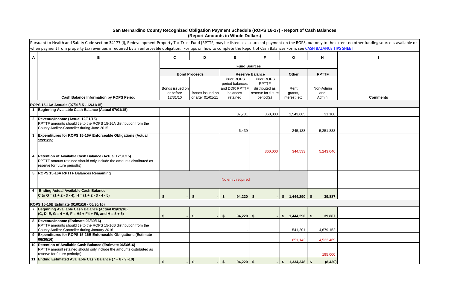|       | the extent no other funding source is available or<br><u>CE TIPS SHEET</u> |
|-------|----------------------------------------------------------------------------|
|       |                                                                            |
|       | I                                                                          |
|       |                                                                            |
|       |                                                                            |
|       |                                                                            |
| in    |                                                                            |
|       | <b>Comments</b>                                                            |
|       |                                                                            |
| 100   |                                                                            |
|       |                                                                            |
| 833   |                                                                            |
|       |                                                                            |
|       |                                                                            |
| 046   |                                                                            |
|       |                                                                            |
|       |                                                                            |
|       |                                                                            |
|       |                                                                            |
|       |                                                                            |
| 887   |                                                                            |
|       |                                                                            |
|       |                                                                            |
| 887   |                                                                            |
|       |                                                                            |
| 152   |                                                                            |
| 469   |                                                                            |
|       |                                                                            |
| ,000  |                                                                            |
| (430) |                                                                            |

# **San Bernardino County Recognized Obligation Payment Schedule (ROPS 16-17) - Report of Cash Balances (Report Amounts in Whole Dollars)**

|              | Pursuant to Health and Safety Code section 34177 (I), Redevelopment Property Tax Trust Fund (RPTTF) may be listed as a source of payment on the ROPS, but only to the extent no other funding source is available or |                      |                      |                     |                        |                               |                    |                 |
|--------------|----------------------------------------------------------------------------------------------------------------------------------------------------------------------------------------------------------------------|----------------------|----------------------|---------------------|------------------------|-------------------------------|--------------------|-----------------|
| $\mathsf{A}$ | when payment from property tax revenues is required by an enforceable obligation. For tips on how to complete the Report of Cash Balances Form, see CASH BALANCE TIPS SHEET<br>B                                     | $\mathbf c$          | D                    | E.                  | F                      | G                             | н                  |                 |
|              |                                                                                                                                                                                                                      |                      |                      | <b>Fund Sources</b> |                        |                               |                    |                 |
|              |                                                                                                                                                                                                                      |                      |                      |                     |                        |                               |                    |                 |
|              |                                                                                                                                                                                                                      |                      | <b>Bond Proceeds</b> |                     | <b>Reserve Balance</b> | Other                         | <b>RPTTF</b>       |                 |
|              |                                                                                                                                                                                                                      |                      |                      | Prior ROPS          | Prior ROPS             |                               |                    |                 |
|              |                                                                                                                                                                                                                      |                      |                      | period balances     | <b>RPTTF</b>           |                               |                    |                 |
|              |                                                                                                                                                                                                                      | Bonds issued on      |                      | and DDR RPTTF       | distributed as         | Rent,                         | Non-Admin          |                 |
|              |                                                                                                                                                                                                                      | or before            | Bonds issued on      | balances            | reserve for future     | grants,                       | and                |                 |
|              | <b>Cash Balance Information by ROPS Period</b>                                                                                                                                                                       | 12/31/10             | or after 01/01/11    | retained            | period(s)              | interest, etc.                | Admin              | <b>Comments</b> |
|              | ROPS 15-16A Actuals (07/01/15 - 12/31/15)                                                                                                                                                                            |                      |                      |                     |                        |                               |                    |                 |
|              | 1 Beginning Available Cash Balance (Actual 07/01/15)                                                                                                                                                                 |                      |                      | 87,781              | 860,000                | 1,543,685                     | 31,100             |                 |
|              | 2  Revenue/Income (Actual 12/31/15)                                                                                                                                                                                  |                      |                      |                     |                        |                               |                    |                 |
|              | RPTTF amounts should tie to the ROPS 15-16A distribution from the                                                                                                                                                    |                      |                      |                     |                        |                               |                    |                 |
|              | County Auditor-Controller during June 2015                                                                                                                                                                           |                      |                      |                     |                        |                               |                    |                 |
|              |                                                                                                                                                                                                                      |                      |                      | 6,439               |                        | 245,138                       | 5,251,833          |                 |
| $\mathbf{3}$ | Expenditures for ROPS 15-16A Enforceable Obligations (Actual<br>12/31/15)                                                                                                                                            |                      |                      |                     |                        |                               |                    |                 |
|              |                                                                                                                                                                                                                      |                      |                      |                     |                        |                               |                    |                 |
|              |                                                                                                                                                                                                                      |                      |                      |                     | 860,000                | 344,533                       | 5,243,046          |                 |
| 4            | Retention of Available Cash Balance (Actual 12/31/15)                                                                                                                                                                |                      |                      |                     |                        |                               |                    |                 |
|              | RPTTF amount retained should only include the amounts distributed as<br>reserve for future period(s)                                                                                                                 |                      |                      |                     |                        |                               |                    |                 |
|              |                                                                                                                                                                                                                      |                      |                      |                     |                        |                               |                    |                 |
|              | 5  ROPS 15-16A RPTTF Balances Remaining                                                                                                                                                                              |                      |                      |                     |                        |                               |                    |                 |
|              |                                                                                                                                                                                                                      |                      |                      | No entry required   |                        |                               |                    |                 |
|              |                                                                                                                                                                                                                      |                      |                      |                     |                        |                               |                    |                 |
| 6            | <b>Ending Actual Available Cash Balance</b>                                                                                                                                                                          |                      |                      |                     |                        |                               |                    |                 |
|              | C to G = $(1 + 2 - 3 - 4)$ , H = $(1 + 2 - 3 - 4 - 5)$                                                                                                                                                               |                      |                      | $94,220$ \$         |                        | 1,444,290<br>-SS              | 39,887<br>-SS      |                 |
|              |                                                                                                                                                                                                                      |                      |                      |                     |                        |                               |                    |                 |
|              | ROPS 15-16B Estimate (01/01/16 - 06/30/16)<br>Beginning Available Cash Balance (Actual 01/01/16)                                                                                                                     |                      |                      |                     |                        |                               |                    |                 |
|              | $(C, D, E, G = 4 + 6, F = H4 + F4 + F6, and H = 5 + 6)$                                                                                                                                                              | \$<br>$\blacksquare$ | Ŝ.                   | $94,220$ \$<br>S.   |                        | 1,444,290<br>-S               | <b>S</b><br>39,887 |                 |
|              | 8  Revenue/Income (Estimate 06/30/16)                                                                                                                                                                                |                      |                      |                     |                        |                               |                    |                 |
|              | RPTTF amounts should tie to the ROPS 15-16B distribution from the                                                                                                                                                    |                      |                      |                     |                        |                               |                    |                 |
|              | County Auditor-Controller during January 2016                                                                                                                                                                        |                      |                      |                     |                        | 541,201                       | 4,679,152          |                 |
| 9            | Expenditures for ROPS 15-16B Enforceable Obligations (Estimate                                                                                                                                                       |                      |                      |                     |                        |                               |                    |                 |
|              | 06/30/16)                                                                                                                                                                                                            |                      |                      |                     |                        | 651,143                       | 4,532,469          |                 |
|              | 10 Retention of Available Cash Balance (Estimate 06/30/16)                                                                                                                                                           |                      |                      |                     |                        |                               |                    |                 |
|              | RPTTF amount retained should only include the amounts distributed as                                                                                                                                                 |                      |                      |                     |                        |                               |                    |                 |
|              | reserve for future period(s)                                                                                                                                                                                         |                      |                      |                     |                        |                               | 195,000            |                 |
|              | 11 Ending Estimated Available Cash Balance (7 + 8 - 9 -10)                                                                                                                                                           | $\mathbf{\hat{s}}$   | \$                   | $94,220$ \$<br>\$   |                        | $1,334,348$ \$<br>$$^{\circ}$ | (8, 430)           |                 |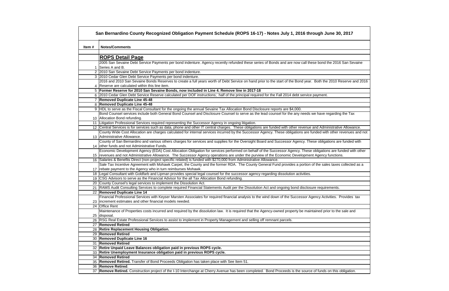|       | San Bernardino County Recognized Obligation Payment Schedule (ROPS 16-17) - Notes July 1, 2016 through June 30, 2017                                                            |
|-------|---------------------------------------------------------------------------------------------------------------------------------------------------------------------------------|
| Item# | <b>Notes/Comments</b>                                                                                                                                                           |
|       |                                                                                                                                                                                 |
|       | <b>ROPS Detail Page</b>                                                                                                                                                         |
|       | 2005 San Sevaine Debt Service Payments per bond indenture. Agency recently refunded these series of Bonds and are now call these bond the 2016 San Sevaine<br>1 Series A and B. |
|       | 2 2010 San Sevaine Debt Service Payments per bond indenture.                                                                                                                    |
|       | 3 2010 Cedar Glen Debt Service Payments per bond indenture.                                                                                                                     |
|       | 2016 and 2010 San Sevaine Bonds Reserves to create a full years worth of Debt Service on hand prior to the start of the Bond year. Both the 2010 Reserve and 2016               |
|       | 4 Reserve are calculated within this line item.                                                                                                                                 |
|       | 5 Former Reserve for 2010 San Sevaine Bonds, now included in Line 4. Remove line in 2017-18                                                                                     |
|       | 6 2010 Cedar Glen Debt Service Reserve calculated per DOF instructions; half of the principal required for the Fall 2014 debt service payment.                                  |
|       | 7 Removed Duplicate Line 45-48                                                                                                                                                  |
|       | 8 Removed Duplicate Line 45-48                                                                                                                                                  |
|       | 9 HDL to serve as the Fiscal Consultant for the ongoing the annual Sevaine Tax Allocation Bond Disclosure reports are \$4,000.                                                  |
|       | Bond Counsel services include both General Bond Counsel and Disclosure Counsel to serve as the lead counsel for the any needs we have regarding the Tax                         |
|       | 10 Allocation Bond refunding.                                                                                                                                                   |
|       | 11 Litigation Professional Services required representing the Successor Agency in ongoing litigation.                                                                           |
|       | 12 Central Services is for services such as data, phone and other IT central charges. These obligations are funded with other revenue and Administrative Allowance.             |
|       | County Wide Cost Allocation are charges calculated for internal services incurred by the Successor Agency. These obligations are funded with other revenues and not             |
|       | 13 Administrative Allowance.                                                                                                                                                    |
|       | County of San Bernardino and various others charges for services and supplies for the Oversight Board and Successor Agency. These obligations are funded with                   |
|       | 14 other funds and not Administrative Funds.                                                                                                                                    |
|       | Economic Development Agency (EDA) Cost Allocation Obligation for services performed on behalf of the Successor Agency. These obligations are funded with other                  |
|       | 15  revenues and not Administrative Allowance. The Successor Agency operations are under the purview of the Economic Development Agency functions.                              |
|       | 16 Salaries & Benefits Direct (non-project specific related) is funded with \$270,000 from Administrative Allowance.                                                            |
|       | Sale Tax Incentive Agreement with Mohawk Carpet, the County and the former RDA. The County General Fund provides a portion of the sales taxes collected as a                    |
|       | 17 rebate payment to the Agency who in turn reimburses Mohawk.                                                                                                                  |
|       | 18 Legal Consultant with Goldfarb and Lipman provides special legal counsel for the successor agency regarding dissolution activities.                                          |
|       | 19 CSG Advisors to serve as the Financial Advisor for the all Tax Allocation Bond refunding.                                                                                    |
|       | 20 County Counsel's legal services to implement the Dissolution Act.                                                                                                            |
|       | 21 RAMS Audit Consulting Services to complete required Financial Statements Audit per the Dissolution Act and ongoing bond disclosure requirements.                             |
|       | 22 Removed Duplicate Line 14                                                                                                                                                    |
|       | Financial Professional Services with Keyser Marsten Associates for required financial analysis to the wind down of the Successor Agency Activities. Provides tax                |
|       | 23 increment estimates and other financial models needed.                                                                                                                       |
|       | 24 Office Rent                                                                                                                                                                  |
|       | Maintenance of Properties costs incurred and required by the dissolution law. It is required that the Agency-owned property be maintained prior to the sale and                 |
|       | 25 disposal.                                                                                                                                                                    |
|       | 26 RSG Real Estate Professional Services to assist to implement in Property Management and selling off remnant parcels.                                                         |
|       | 27 Removed Retired                                                                                                                                                              |
|       | 28 Retire Replacement Housing Obligation.                                                                                                                                       |
|       | 29 Removed Retired                                                                                                                                                              |
|       | 30 Removed Duplicate Line 16                                                                                                                                                    |
|       | 31 Removed Retired                                                                                                                                                              |
|       | 32 Retire Unpaid Leave Balances obligation paid in previous ROPS cycle.                                                                                                         |
|       | 33 Retire Unemployment Insurance obligation paid in previous ROPS cycle.<br>34 Removed Retired                                                                                  |
|       | 35 Removed Retired. Transfer of Bond Proceeds Obligation has taken place with See Item 51.                                                                                      |
|       | 36 Remove Retired.                                                                                                                                                              |
|       | 37 Remove Retired. Construction project of the I-10 Interchange at Cherry Avenue has been completed. Bond Proceeds is the source of funds on this obligation.                   |
|       |                                                                                                                                                                                 |